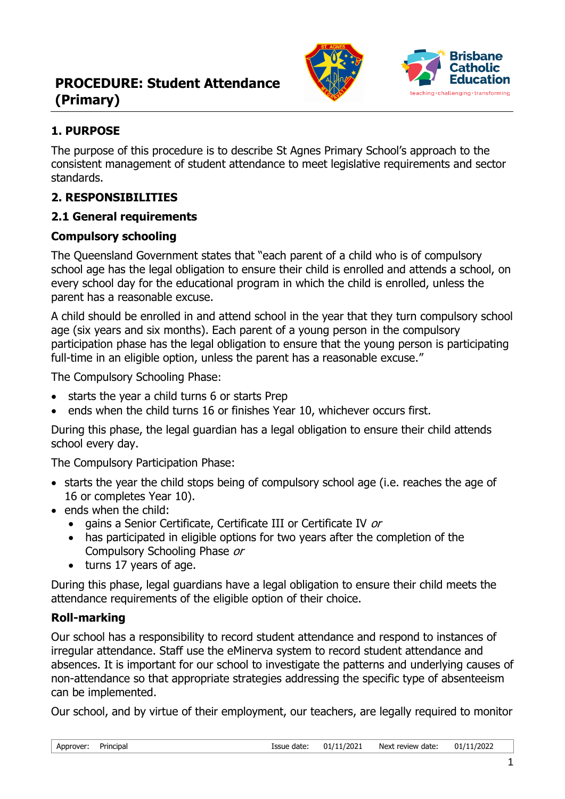



## **1. PURPOSE**

The purpose of this procedure is to describe St Agnes Primary School's approach to the consistent management of student attendance to meet legislative requirements and sector standards.

### **2. RESPONSIBILITIES**

### **2.1 General requirements**

### **Compulsory schooling**

The Queensland Government states that "each parent of a child who is of compulsory school age has the legal obligation to ensure their child is enrolled and attends a school, on every school day for the educational program in which the child is enrolled, unless the parent has a reasonable excuse.

A child should be enrolled in and attend school in the year that they turn compulsory school age (six years and six months). Each parent of a young person in the compulsory participation phase has the legal obligation to ensure that the young person is participating full-time in an eligible option, unless the parent has a reasonable excuse."

The Compulsory Schooling Phase:

- starts the year a child turns 6 or starts Prep
- ends when the child turns 16 or finishes Year 10, whichever occurs first.

During this phase, the legal guardian has a legal obligation to ensure their child attends school every day.

The Compulsory Participation Phase:

- starts the year the child stops being of compulsory school age (i.e. reaches the age of 16 or completes Year 10).
- ends when the child:
	- gains a Senior Certificate, Certificate III or Certificate IV or
	- has participated in eligible options for two years after the completion of the Compulsory Schooling Phase or
	- turns 17 years of age.

During this phase, legal guardians have a legal obligation to ensure their child meets the attendance requirements of the eligible option of their choice.

### **Roll-marking**

Our school has a responsibility to record student attendance and respond to instances of irregular attendance. Staff use the eMinerva system to record student attendance and absences. It is important for our school to investigate the patterns and underlying causes of non-attendance so that appropriate strategies addressing the specific type of absenteeism can be implemented.

Our school, and by virtue of their employment, our teachers, are legally required to monitor

| Approver: | Principal |
|-----------|-----------|
|-----------|-----------|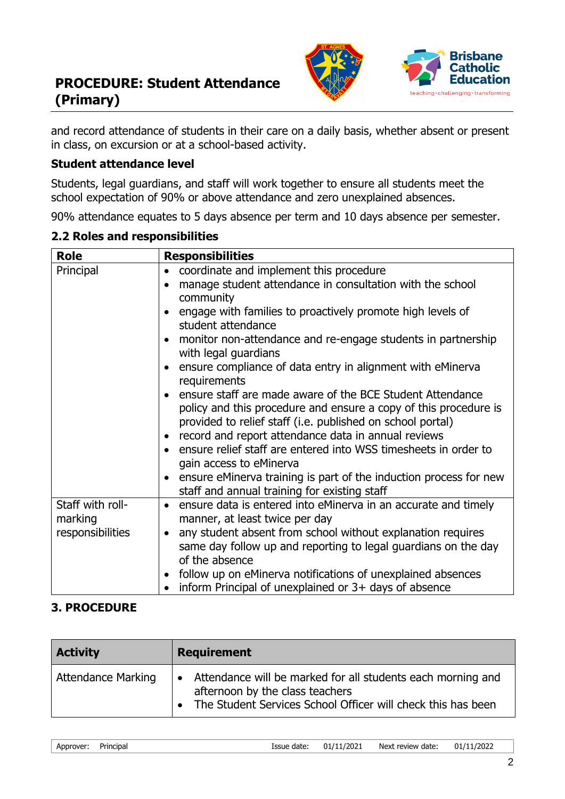



and record attendance of students in their care on a daily basis, whether absent or present in class, on excursion or at a school-based activity.

#### **Student attendance level**

Students, legal guardians, and staff will work together to ensure all students meet the school expectation of 90% or above attendance and zero unexplained absences.

90% attendance equates to 5 days absence per term and 10 days absence per semester.

| <b>Role</b>                                     | <b>Responsibilities</b>                                                                                                                                                                                                                                                                                                                                                                                                                                                                                                                                                                                                                                                                                                                                                                                                                 |
|-------------------------------------------------|-----------------------------------------------------------------------------------------------------------------------------------------------------------------------------------------------------------------------------------------------------------------------------------------------------------------------------------------------------------------------------------------------------------------------------------------------------------------------------------------------------------------------------------------------------------------------------------------------------------------------------------------------------------------------------------------------------------------------------------------------------------------------------------------------------------------------------------------|
| Principal                                       | coordinate and implement this procedure<br>$\bullet$<br>manage student attendance in consultation with the school<br>$\bullet$<br>community<br>engage with families to proactively promote high levels of<br>$\bullet$<br>student attendance<br>monitor non-attendance and re-engage students in partnership<br>$\bullet$<br>with legal guardians<br>ensure compliance of data entry in alignment with eMinerva<br>$\bullet$<br>requirements<br>ensure staff are made aware of the BCE Student Attendance<br>$\bullet$<br>policy and this procedure and ensure a copy of this procedure is<br>provided to relief staff (i.e. published on school portal)<br>record and report attendance data in annual reviews<br>$\bullet$<br>ensure relief staff are entered into WSS timesheets in order to<br>$\bullet$<br>gain access to eMinerva |
| $\bullet$                                       | ensure eMinerva training is part of the induction process for new<br>staff and annual training for existing staff                                                                                                                                                                                                                                                                                                                                                                                                                                                                                                                                                                                                                                                                                                                       |
| Staff with roll-<br>marking<br>responsibilities | ensure data is entered into eMinerva in an accurate and timely<br>$\bullet$<br>manner, at least twice per day<br>any student absent from school without explanation requires<br>$\bullet$<br>same day follow up and reporting to legal guardians on the day<br>of the absence<br>follow up on eMinerva notifications of unexplained absences<br>$\bullet$<br>inform Principal of unexplained or $3+$ days of absence                                                                                                                                                                                                                                                                                                                                                                                                                    |

### **3. PROCEDURE**

| <b>Activity</b>           | <b>Requirement</b>                                                                                                                                                            |
|---------------------------|-------------------------------------------------------------------------------------------------------------------------------------------------------------------------------|
| <b>Attendance Marking</b> | Attendance will be marked for all students each morning and<br>$\bullet$<br>afternoon by the class teachers<br>• The Student Services School Officer will check this has been |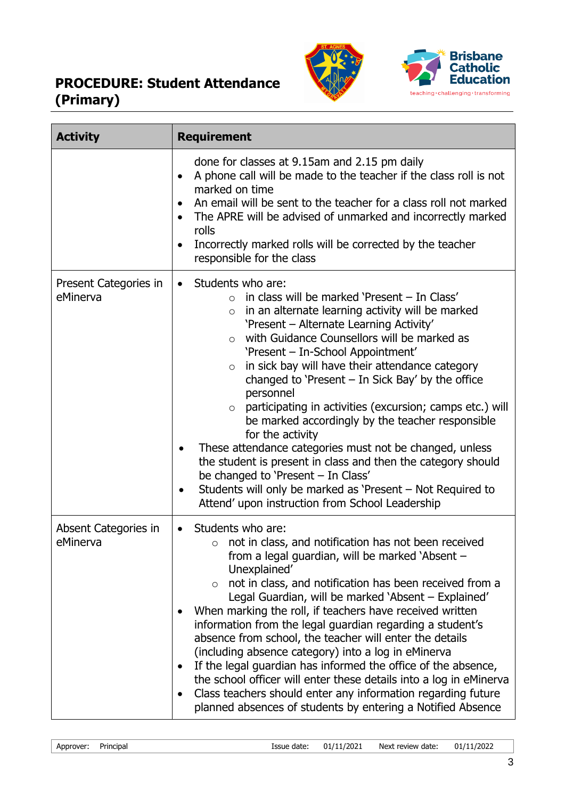



| <b>Activity</b>                   | <b>Requirement</b>                                                                                                                                                                                                                                                                                                                                                                                                                                                                                                                                                                                                                                                                                                                                                                                                                                                                 |
|-----------------------------------|------------------------------------------------------------------------------------------------------------------------------------------------------------------------------------------------------------------------------------------------------------------------------------------------------------------------------------------------------------------------------------------------------------------------------------------------------------------------------------------------------------------------------------------------------------------------------------------------------------------------------------------------------------------------------------------------------------------------------------------------------------------------------------------------------------------------------------------------------------------------------------|
|                                   | done for classes at 9.15am and 2.15 pm daily<br>A phone call will be made to the teacher if the class roll is not<br>$\bullet$<br>marked on time<br>An email will be sent to the teacher for a class roll not marked<br>The APRE will be advised of unmarked and incorrectly marked<br>rolls<br>Incorrectly marked rolls will be corrected by the teacher<br>responsible for the class                                                                                                                                                                                                                                                                                                                                                                                                                                                                                             |
| Present Categories in<br>eMinerva | Students who are:<br>$\bullet$<br>in class will be marked 'Present - In Class'<br>$\Omega$<br>in an alternate learning activity will be marked<br>$\circ$<br>'Present - Alternate Learning Activity'<br>with Guidance Counsellors will be marked as<br>$\circ$<br>'Present - In-School Appointment'<br>in sick bay will have their attendance category<br>$\circ$<br>changed to 'Present $-$ In Sick Bay' by the office<br>personnel<br>participating in activities (excursion; camps etc.) will<br>$\circ$<br>be marked accordingly by the teacher responsible<br>for the activity<br>These attendance categories must not be changed, unless<br>the student is present in class and then the category should<br>be changed to 'Present - In Class'<br>Students will only be marked as 'Present – Not Required to<br>$\bullet$<br>Attend' upon instruction from School Leadership |
| Absent Categories in<br>eMinerva  | Students who are:<br>$\bullet$<br>not in class, and notification has not been received<br>$\circ$<br>from a legal guardian, will be marked 'Absent -<br>Unexplained'<br>not in class, and notification has been received from a<br>$\circ$<br>Legal Guardian, will be marked 'Absent – Explained'<br>When marking the roll, if teachers have received written<br>information from the legal guardian regarding a student's<br>absence from school, the teacher will enter the details<br>(including absence category) into a log in eMinerva<br>If the legal guardian has informed the office of the absence,<br>the school officer will enter these details into a log in eMinerva<br>Class teachers should enter any information regarding future<br>planned absences of students by entering a Notified Absence                                                                 |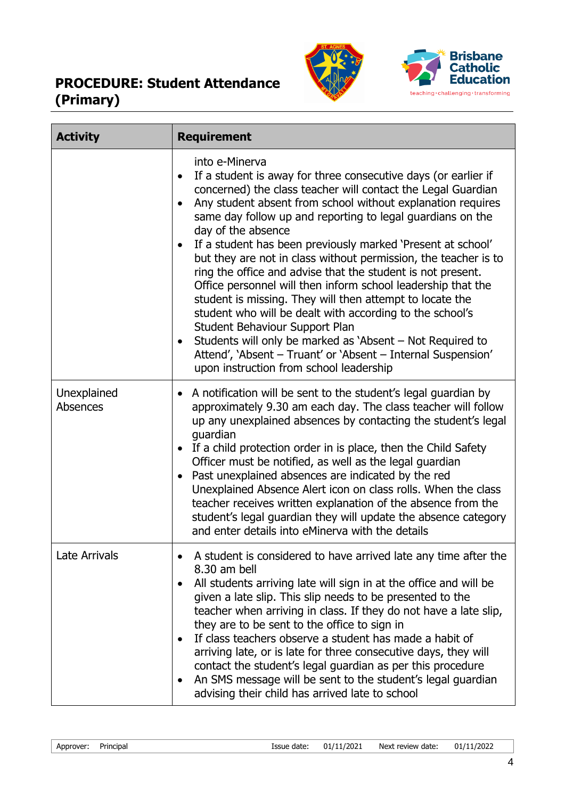



| <b>Activity</b>         | <b>Requirement</b>                                                                                                                                                                                                                                                                                                                                                                                                                                                                                                                                                                                                                                                                                                                                                                                                                                                                                                  |
|-------------------------|---------------------------------------------------------------------------------------------------------------------------------------------------------------------------------------------------------------------------------------------------------------------------------------------------------------------------------------------------------------------------------------------------------------------------------------------------------------------------------------------------------------------------------------------------------------------------------------------------------------------------------------------------------------------------------------------------------------------------------------------------------------------------------------------------------------------------------------------------------------------------------------------------------------------|
|                         | into e-Minerva<br>If a student is away for three consecutive days (or earlier if<br>$\bullet$<br>concerned) the class teacher will contact the Legal Guardian<br>Any student absent from school without explanation requires<br>same day follow up and reporting to legal guardians on the<br>day of the absence<br>If a student has been previously marked 'Present at school'<br>but they are not in class without permission, the teacher is to<br>ring the office and advise that the student is not present.<br>Office personnel will then inform school leadership that the<br>student is missing. They will then attempt to locate the<br>student who will be dealt with according to the school's<br>Student Behaviour Support Plan<br>Students will only be marked as 'Absent – Not Required to<br>Attend', 'Absent - Truant' or 'Absent - Internal Suspension'<br>upon instruction from school leadership |
| Unexplained<br>Absences | A notification will be sent to the student's legal guardian by<br>approximately 9.30 am each day. The class teacher will follow<br>up any unexplained absences by contacting the student's legal<br>guardian<br>If a child protection order in is place, then the Child Safety<br>Officer must be notified, as well as the legal guardian<br>Past unexplained absences are indicated by the red<br>Unexplained Absence Alert icon on class rolls. When the class<br>teacher receives written explanation of the absence from the<br>student's legal guardian they will update the absence category<br>and enter details into eMinerva with the details                                                                                                                                                                                                                                                              |
| <b>Late Arrivals</b>    | A student is considered to have arrived late any time after the<br>8.30 am bell<br>All students arriving late will sign in at the office and will be<br>given a late slip. This slip needs to be presented to the<br>teacher when arriving in class. If they do not have a late slip,<br>they are to be sent to the office to sign in<br>If class teachers observe a student has made a habit of<br>٠<br>arriving late, or is late for three consecutive days, they will<br>contact the student's legal guardian as per this procedure<br>An SMS message will be sent to the student's legal guardian<br>٠<br>advising their child has arrived late to school                                                                                                                                                                                                                                                       |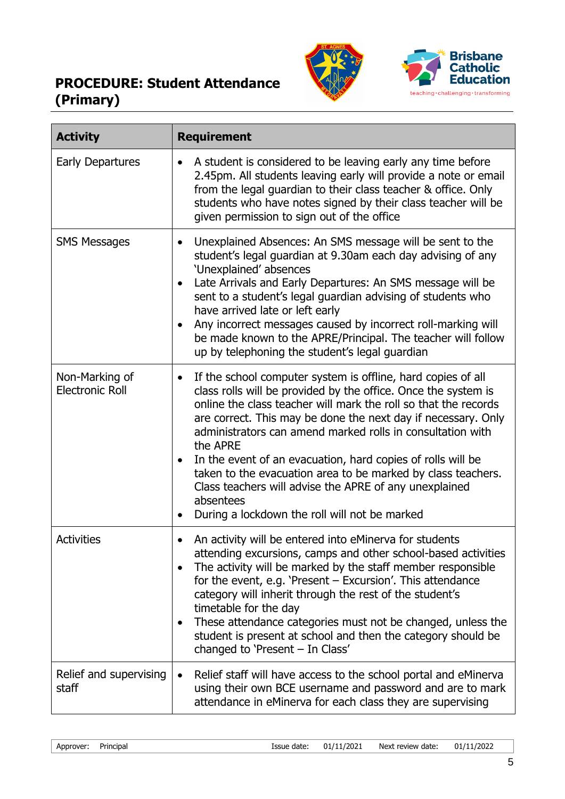



| <b>Activity</b>                          | <b>Requirement</b>                                                                                                                                                                                                                                                                                                                                                                                                                                                                                                                                                                                               |
|------------------------------------------|------------------------------------------------------------------------------------------------------------------------------------------------------------------------------------------------------------------------------------------------------------------------------------------------------------------------------------------------------------------------------------------------------------------------------------------------------------------------------------------------------------------------------------------------------------------------------------------------------------------|
| <b>Early Departures</b>                  | A student is considered to be leaving early any time before<br>2.45pm. All students leaving early will provide a note or email<br>from the legal guardian to their class teacher & office. Only<br>students who have notes signed by their class teacher will be<br>given permission to sign out of the office                                                                                                                                                                                                                                                                                                   |
| <b>SMS Messages</b>                      | Unexplained Absences: An SMS message will be sent to the<br>$\bullet$<br>student's legal guardian at 9.30am each day advising of any<br>'Unexplained' absences<br>Late Arrivals and Early Departures: An SMS message will be<br>sent to a student's legal guardian advising of students who<br>have arrived late or left early<br>Any incorrect messages caused by incorrect roll-marking will<br>be made known to the APRE/Principal. The teacher will follow<br>up by telephoning the student's legal guardian                                                                                                 |
| Non-Marking of<br><b>Electronic Roll</b> | If the school computer system is offline, hard copies of all<br>$\bullet$<br>class rolls will be provided by the office. Once the system is<br>online the class teacher will mark the roll so that the records<br>are correct. This may be done the next day if necessary. Only<br>administrators can amend marked rolls in consultation with<br>the APRE<br>In the event of an evacuation, hard copies of rolls will be<br>taken to the evacuation area to be marked by class teachers.<br>Class teachers will advise the APRE of any unexplained<br>absentees<br>During a lockdown the roll will not be marked |
| <b>Activities</b>                        | An activity will be entered into eMinerva for students<br>٠<br>attending excursions, camps and other school-based activities<br>The activity will be marked by the staff member responsible<br>$\bullet$<br>for the event, e.g. 'Present - Excursion'. This attendance<br>category will inherit through the rest of the student's<br>timetable for the day<br>These attendance categories must not be changed, unless the<br>student is present at school and then the category should be<br>changed to 'Present - In Class'                                                                                     |
| Relief and supervising<br>staff          | Relief staff will have access to the school portal and eMinerva<br>using their own BCE username and password and are to mark<br>attendance in eMinerva for each class they are supervising                                                                                                                                                                                                                                                                                                                                                                                                                       |